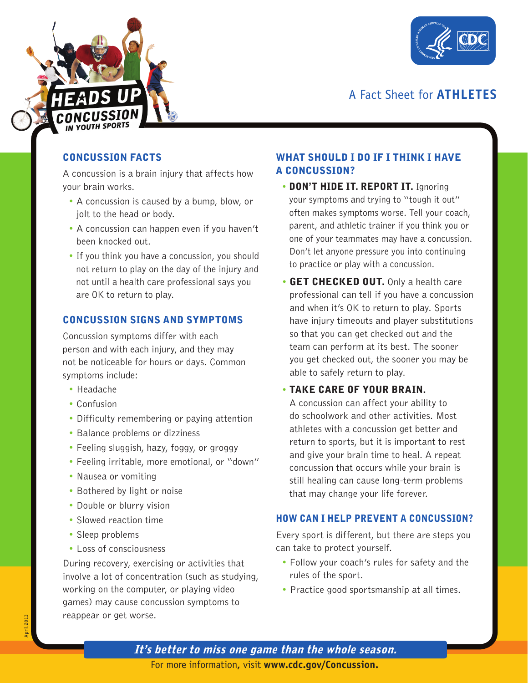



## A Fact Sheet for **ATHLETES**

## CONCUSSION FACTS

A concussion is a brain injury that affects how your brain works.

- A concussion is caused by a bump, blow, or jolt to the head or body.
- A concussion can happen even if you haven't been knocked out.
- If you think you have a concussion, you should not return to play on the day of the injury and not until a health care professional says you are OK to return to play.

## CONCUSSION SIGNS AND SYMPTOMS

Concussion symptoms differ with each person and with each injury, and they may not be noticeable for hours or days. Common symptoms include:

- Headache
- Confusion
- Difficulty remembering or paying attention
- Balance problems or dizziness
- Feeling sluggish, hazy, foggy, or groggy
- Feeling irritable, more emotional, or "down"
- Nausea or vomiting
- Bothered by light or noise
- Double or blurry vision
- Slowed reaction time
- Sleep problems
- Loss of consciousness

During recovery, exercising or activities that involve a lot of concentration (such as studying, working on the computer, or playing video games) may cause concussion symptoms to reappear or get worse.

## WHAT SHOULD I DO IF I THINK I HAVE A CONCUSSION?

- DON'T HIDE IT. REPORT IT. Ignoring your symptoms and trying to "tough it out" often makes symptoms worse. Tell your coach, parent, and athletic trainer if you think you or one of your teammates may have a concussion. Don't let anyone pressure you into continuing to practice or play with a concussion.
- **GET CHECKED OUT.** Only a health care professional can tell if you have a concussion and when it's OK to return to play. Sports have injury timeouts and player substitutions so that you can get checked out and the team can perform at its best. The sooner you get checked out, the sooner you may be able to safely return to play.

## TAKE CARE OF YOUR BRAIN.

A concussion can affect your ability to do schoolwork and other activities. Most athletes with a concussion get better and return to sports, but it is important to rest and give your brain time to heal. A repeat concussion that occurs while your brain is still healing can cause long-term problems that may change your life forever.

## HOW CAN I HELP PREVENT A CONCUSSION?

Every sport is different, but there are steps you can take to protect yourself.

- Follow your coach's rules for safety and the rules of the sport.
- Practice good sportsmanship at all times.